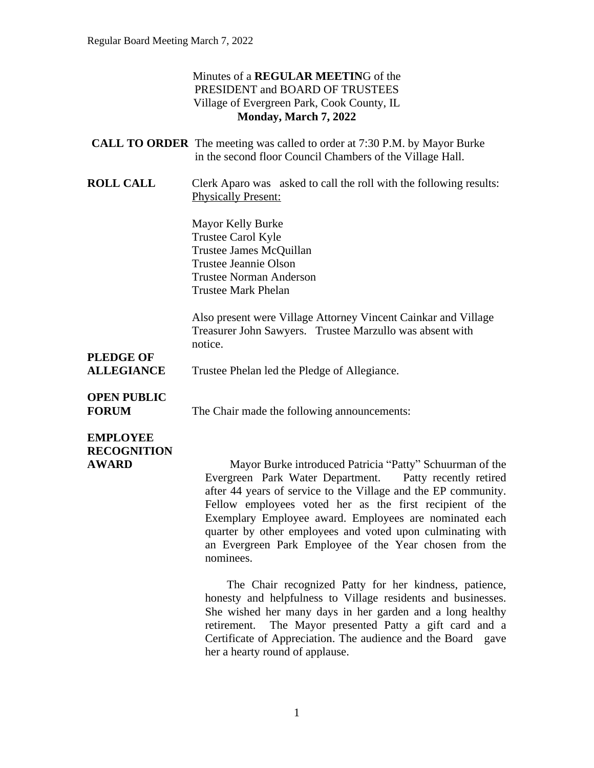#### Minutes of a **REGULAR MEETIN**G of the PRESIDENT and BOARD OF TRUSTEES Village of Evergreen Park, Cook County, IL **Monday, March 7, 2022**

| <b>CALL TO ORDER</b> The meeting was called to order at 7:30 P.M. by Mayor Burke |
|----------------------------------------------------------------------------------|
| in the second floor Council Chambers of the Village Hall.                        |

**ROLL CALL** Clerk Aparo was asked to call the roll with the following results: Physically Present:

> Mayor Kelly Burke Trustee Carol Kyle Trustee James McQuillan Trustee Jeannie Olson Trustee Norman Anderson Trustee Mark Phelan

Also present were Village Attorney Vincent Cainkar and Village Treasurer John Sawyers. Trustee Marzullo was absent with notice.

# **PLEDGE OF**

ALLEGIANCE Trustee Phelan led the Pledge of Allegiance.

# **OPEN PUBLIC**

**FORUM** The Chair made the following announcements:

# **EMPLOYEE RECOGNITION**

**AWARD** Mayor Burke introduced Patricia "Patty" Schuurman of the Evergreen Park Water Department. Patty recently retired after 44 years of service to the Village and the EP community. Fellow employees voted her as the first recipient of the Exemplary Employee award. Employees are nominated each quarter by other employees and voted upon culminating with an Evergreen Park Employee of the Year chosen from the nominees.

> The Chair recognized Patty for her kindness, patience, honesty and helpfulness to Village residents and businesses. She wished her many days in her garden and a long healthy retirement. The Mayor presented Patty a gift card and a Certificate of Appreciation. The audience and the Board gave her a hearty round of applause.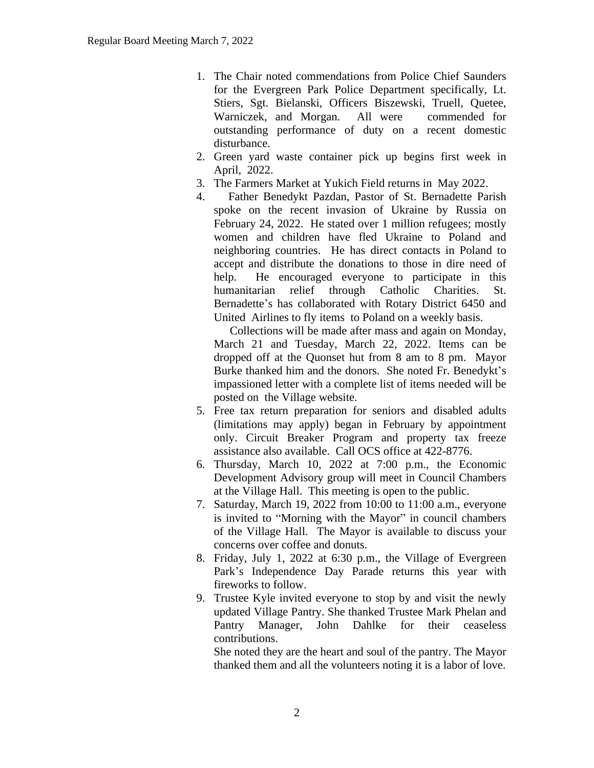- 1. The Chair noted commendations from Police Chief Saunders for the Evergreen Park Police Department specifically, Lt. Stiers, Sgt. Bielanski, Officers Biszewski, Truell, Quetee, Warniczek, and Morgan. All were commended for outstanding performance of duty on a recent domestic disturbance.
- 2. Green yard waste container pick up begins first week in April, 2022.
- 3. The Farmers Market at Yukich Field returns in May 2022.
- 4. Father Benedykt Pazdan, Pastor of St. Bernadette Parish spoke on the recent invasion of Ukraine by Russia on February 24, 2022. He stated over 1 million refugees; mostly women and children have fled Ukraine to Poland and neighboring countries. He has direct contacts in Poland to accept and distribute the donations to those in dire need of help. He encouraged everyone to participate in this humanitarian relief through Catholic Charities. St. Bernadette's has collaborated with Rotary District 6450 and United Airlines to fly items to Poland on a weekly basis.

Collections will be made after mass and again on Monday, March 21 and Tuesday, March 22, 2022. Items can be dropped off at the Quonset hut from 8 am to 8 pm. Mayor Burke thanked him and the donors. She noted Fr. Benedykt's impassioned letter with a complete list of items needed will be posted on the Village website.

- 5. Free tax return preparation for seniors and disabled adults (limitations may apply) began in February by appointment only. Circuit Breaker Program and property tax freeze assistance also available. Call OCS office at 422-8776.
- 6. Thursday, March 10, 2022 at 7:00 p.m., the Economic Development Advisory group will meet in Council Chambers at the Village Hall. This meeting is open to the public.
- 7. Saturday, March 19, 2022 from 10:00 to 11:00 a.m., everyone is invited to "Morning with the Mayor" in council chambers of the Village Hall. The Mayor is available to discuss your concerns over coffee and donuts.
- 8. Friday, July 1, 2022 at 6:30 p.m., the Village of Evergreen Park's Independence Day Parade returns this year with fireworks to follow.
- 9. Trustee Kyle invited everyone to stop by and visit the newly updated Village Pantry. She thanked Trustee Mark Phelan and Pantry Manager, John Dahlke for their ceaseless contributions.

She noted they are the heart and soul of the pantry. The Mayor thanked them and all the volunteers noting it is a labor of love.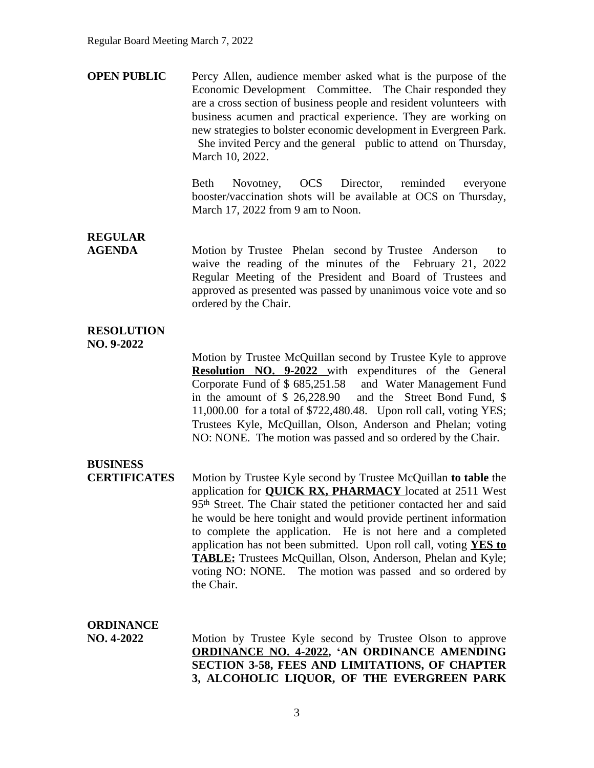**OPEN PUBLIC** Percy Allen, audience member asked what is the purpose of the Economic Development Committee. The Chair responded they are a cross section of business people and resident volunteers with business acumen and practical experience. They are working on new strategies to bolster economic development in Evergreen Park. She invited Percy and the general public to attend on Thursday, March 10, 2022.

> Beth Novotney, OCS Director, reminded everyone booster/vaccination shots will be available at OCS on Thursday, March 17, 2022 from 9 am to Noon.

**REGULAR**

**AGENDA** Motion by Trustee Phelan second by Trustee Anderson to waive the reading of the minutes of the February 21, 2022 Regular Meeting of the President and Board of Trustees and approved as presented was passed by unanimous voice vote and so ordered by the Chair.

### **RESOLUTION**

**NO. 9-2022**

Motion by Trustee McQuillan second by Trustee Kyle to approve **Resolution NO. 9-2022** with expenditures of the General Corporate Fund of \$ 685,251.58 and Water Management Fund in the amount of \$ 26,228.90 and the Street Bond Fund, \$ 11,000.00 for a total of \$722,480.48. Upon roll call, voting YES; Trustees Kyle, McQuillan, Olson, Anderson and Phelan; voting NO: NONE. The motion was passed and so ordered by the Chair.

## **BUSINESS**

**CERTIFICATES** Motion by Trustee Kyle second by Trustee McQuillan **to table** the application for **QUICK RX, PHARMACY** located at 2511 West 95th Street. The Chair stated the petitioner contacted her and said he would be here tonight and would provide pertinent information to complete the application. He is not here and a completed application has not been submitted. Upon roll call, voting **YES to TABLE:** Trustees McQuillan, Olson, Anderson, Phelan and Kyle; voting NO: NONE. The motion was passed and so ordered by the Chair.

#### **ORDINANCE**

**NO. 4-2022** Motion by Trustee Kyle second by Trustee Olson to approve **ORDINANCE NO. 4-2022, 'AN ORDINANCE AMENDING SECTION 3-58, FEES AND LIMITATIONS, OF CHAPTER 3, ALCOHOLIC LIQUOR, OF THE EVERGREEN PARK**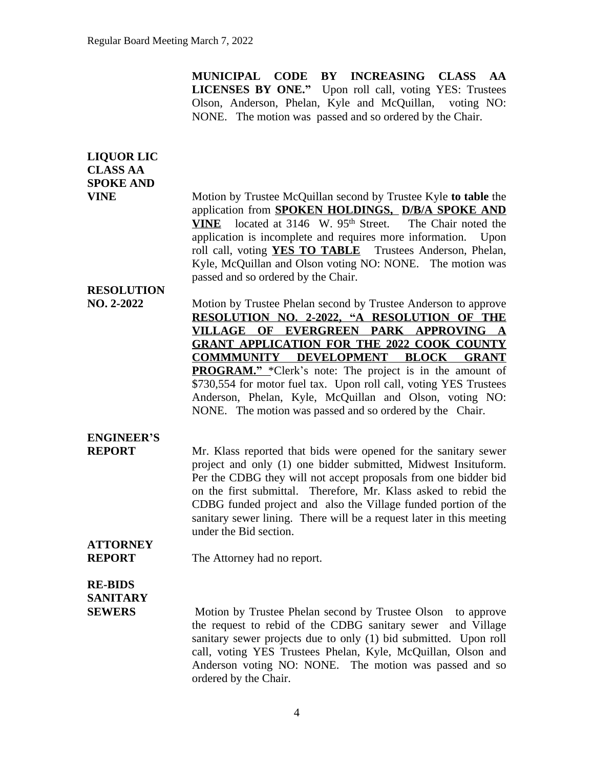**MUNICIPAL CODE BY INCREASING CLASS AA LICENSES BY ONE."** Upon roll call, voting YES: Trustees Olson, Anderson, Phelan, Kyle and McQuillan, voting NO: NONE. The motion was passed and so ordered by the Chair.

| <b>LIQUOR LIC</b><br><b>CLASS AA</b><br><b>SPOKE AND</b><br><b>VINE</b> | Motion by Trustee McQuillan second by Trustee Kyle to table the<br>application from SPOKEN HOLDINGS, D/B/A SPOKE AND<br>located at 3146 W. 95 <sup>th</sup> Street. The Chair noted the<br><b>VINE</b>                                                                                                                                                                                                                                      |
|-------------------------------------------------------------------------|---------------------------------------------------------------------------------------------------------------------------------------------------------------------------------------------------------------------------------------------------------------------------------------------------------------------------------------------------------------------------------------------------------------------------------------------|
|                                                                         | application is incomplete and requires more information. Upon<br>roll call, voting YES TO TABLE Trustees Anderson, Phelan,<br>Kyle, McQuillan and Olson voting NO: NONE. The motion was<br>passed and so ordered by the Chair.                                                                                                                                                                                                              |
| <b>RESOLUTION</b>                                                       |                                                                                                                                                                                                                                                                                                                                                                                                                                             |
| NO. 2-2022                                                              | Motion by Trustee Phelan second by Trustee Anderson to approve<br>RESOLUTION NO. 2-2022, "A RESOLUTION OF THE<br>VILLAGE OF EVERGREEN PARK APPROVING A                                                                                                                                                                                                                                                                                      |
|                                                                         | <b>GRANT APPLICATION FOR THE 2022 COOK COUNTY</b>                                                                                                                                                                                                                                                                                                                                                                                           |
|                                                                         | COMMMUNITY DEVELOPMENT BLOCK GRANT                                                                                                                                                                                                                                                                                                                                                                                                          |
|                                                                         | <b>PROGRAM."</b> *Clerk's note: The project is in the amount of<br>\$730,554 for motor fuel tax. Upon roll call, voting YES Trustees<br>Anderson, Phelan, Kyle, McQuillan and Olson, voting NO:<br>NONE. The motion was passed and so ordered by the Chair.                                                                                                                                                                                 |
| <b>ENGINEER'S</b>                                                       |                                                                                                                                                                                                                                                                                                                                                                                                                                             |
| <b>REPORT</b>                                                           | Mr. Klass reported that bids were opened for the sanitary sewer<br>project and only (1) one bidder submitted, Midwest Insituform.<br>Per the CDBG they will not accept proposals from one bidder bid<br>on the first submittal. Therefore, Mr. Klass asked to rebid the<br>CDBG funded project and also the Village funded portion of the<br>sanitary sewer lining. There will be a request later in this meeting<br>under the Bid section. |
| <b>ATTORNEY</b><br><b>REPORT</b>                                        | The Attorney had no report.                                                                                                                                                                                                                                                                                                                                                                                                                 |
| <b>RE-BIDS</b><br><b>SANITARY</b>                                       |                                                                                                                                                                                                                                                                                                                                                                                                                                             |
| <b>SEWERS</b>                                                           | Motion by Trustee Phelan second by Trustee Olson to approve<br>the request to rebid of the CDBG sanitary sewer<br>and Village<br>sanitary sewer projects due to only (1) bid submitted. Upon roll<br>call, voting YES Trustees Phelan, Kyle, McQuillan, Olson and<br>Anderson voting NO: NONE. The motion was passed and so<br>ordered by the Chair.                                                                                        |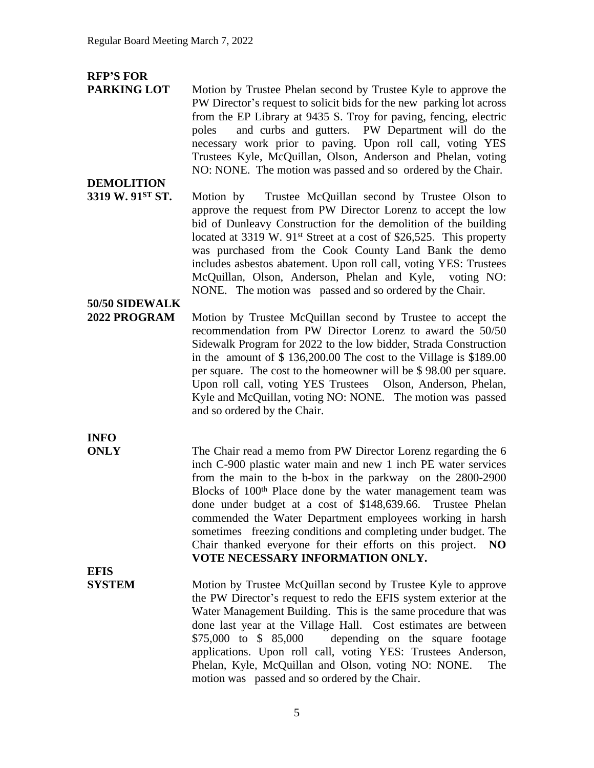### **RFP'S FOR**

**DEMOLITION**

**PARKING LOT** Motion by Trustee Phelan second by Trustee Kyle to approve the PW Director's request to solicit bids for the new parking lot across from the EP Library at 9435 S. Troy for paving, fencing, electric poles and curbs and gutters. PW Department will do the necessary work prior to paving. Upon roll call, voting YES Trustees Kyle, McQuillan, Olson, Anderson and Phelan, voting NO: NONE. The motion was passed and so ordered by the Chair.

**3319 W. 91<sup>ST</sup> ST.** Motion by Trustee McQuillan second by Trustee Olson to approve the request from PW Director Lorenz to accept the low bid of Dunleavy Construction for the demolition of the building located at 3319 W. 91<sup>st</sup> Street at a cost of \$26,525. This property was purchased from the Cook County Land Bank the demo includes asbestos abatement. Upon roll call, voting YES: Trustees McQuillan, Olson, Anderson, Phelan and Kyle, voting NO: NONE. The motion was passed and so ordered by the Chair.

## **50/50 SIDEWALK**

**2022 PROGRAM** Motion by Trustee McQuillan second by Trustee to accept the recommendation from PW Director Lorenz to award the 50/50 Sidewalk Program for 2022 to the low bidder, Strada Construction in the amount of \$ 136,200.00 The cost to the Village is \$189.00 per square. The cost to the homeowner will be \$ 98.00 per square. Upon roll call, voting YES Trustees Olson, Anderson, Phelan, Kyle and McQuillan, voting NO: NONE. The motion was passed and so ordered by the Chair.

**INFO**

**ONLY** The Chair read a memo from PW Director Lorenz regarding the 6 inch C-900 plastic water main and new 1 inch PE water services from the main to the b-box in the parkway on the 2800-2900 Blocks of 100<sup>th</sup> Place done by the water management team was done under budget at a cost of \$148,639.66. Trustee Phelan commended the Water Department employees working in harsh sometimes freezing conditions and completing under budget. The Chair thanked everyone for their efforts on this project. **NO VOTE NECESSARY INFORMATION ONLY.**

**EFIS**

**SYSTEM** Motion by Trustee McQuillan second by Trustee Kyle to approve the PW Director's request to redo the EFIS system exterior at the Water Management Building. This is the same procedure that was done last year at the Village Hall. Cost estimates are between \$75,000 to \$ 85,000 depending on the square footage applications. Upon roll call, voting YES: Trustees Anderson, Phelan, Kyle, McQuillan and Olson, voting NO: NONE. The motion was passed and so ordered by the Chair.